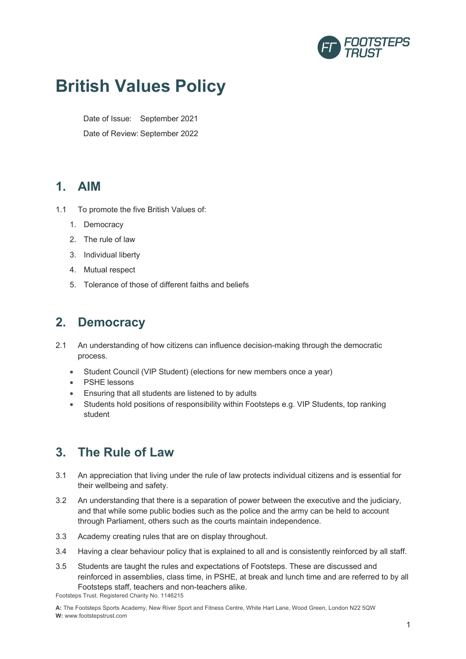

# **British Values Policy**

Date of Issue: September 2021 Date of Review: September 2022

#### **1. AIM**

- 1.1 To promote the five British Values of:
	- 1. Democracy
	- 2. The rule of law
	- 3. Individual liberty
	- 4. Mutual respect
	- 5. Tolerance of those of different faiths and beliefs

### **2. Democracy**

- 2.1 An understanding of how citizens can influence decision-making through the democratic process.
	- Student Council (VIP Student) (elections for new members once a year)
	- PSHE lessons
	- Ensuring that all students are listened to by adults
	- Students hold positions of responsibility within Footsteps e.g. VIP Students, top ranking student

# **3. The Rule of Law**

- 3.1 An appreciation that living under the rule of law protects individual citizens and is essential for their wellbeing and safety.
- 3.2 An understanding that there is a separation of power between the executive and the judiciary, and that while some public bodies such as the police and the army can be held to account through Parliament, others such as the courts maintain independence.
- 3.3 Academy creating rules that are on display throughout.
- 3.4 Having a clear behaviour policy that is explained to all and is consistently reinforced by all staff.
- 3.5 Students are taught the rules and expectations of Footsteps. These are discussed and reinforced in assemblies, class time, in PSHE, at break and lunch time and are referred to by all Footsteps staff, teachers and non-teachers alike.

Footsteps Trust. Registered Charity No. 1146215

**A:** The Footsteps Sports Academy, New River Sport and Fitness Centre, White Hart Lane, Wood Green, London N22 5QW **W:** www.footstepstrust.com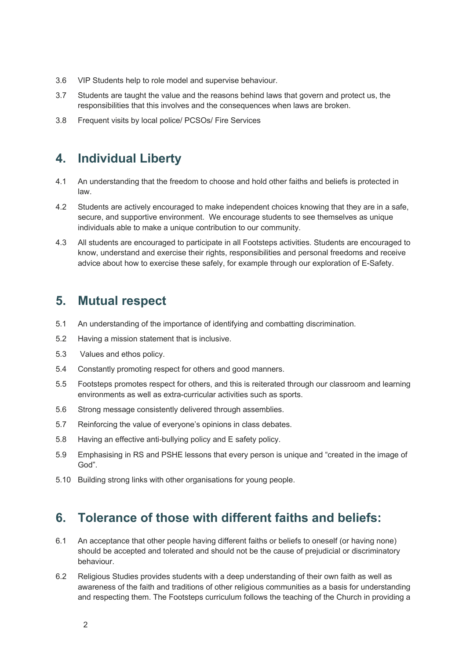- 3.6 VIP Students help to role model and supervise behaviour.
- 3.7 Students are taught the value and the reasons behind laws that govern and protect us, the responsibilities that this involves and the consequences when laws are broken.
- 3.8 Frequent visits by local police/ PCSOs/ Fire Services

## **4. Individual Liberty**

- 4.1 An understanding that the freedom to choose and hold other faiths and beliefs is protected in law.
- 4.2 Students are actively encouraged to make independent choices knowing that they are in a safe, secure, and supportive environment. We encourage students to see themselves as unique individuals able to make a unique contribution to our community.
- 4.3 All students are encouraged to participate in all Footsteps activities. Students are encouraged to know, understand and exercise their rights, responsibilities and personal freedoms and receive advice about how to exercise these safely, for example through our exploration of E-Safety.

#### **5. Mutual respect**

- 5.1 An understanding of the importance of identifying and combatting discrimination.
- 5.2 Having a mission statement that is inclusive.
- 5.3 Values and ethos policy.
- 5.4 Constantly promoting respect for others and good manners.
- 5.5 Footsteps promotes respect for others, and this is reiterated through our classroom and learning environments as well as extra-curricular activities such as sports.
- 5.6 Strong message consistently delivered through assemblies.
- 5.7 Reinforcing the value of everyone's opinions in class debates.
- 5.8 Having an effective anti-bullying policy and E safety policy.
- 5.9 Emphasising in RS and PSHE lessons that every person is unique and "created in the image of God".
- 5.10 Building strong links with other organisations for young people.

# **6. Tolerance of those with different faiths and beliefs:**

- 6.1 An acceptance that other people having different faiths or beliefs to oneself (or having none) should be accepted and tolerated and should not be the cause of prejudicial or discriminatory behaviour.
- 6.2 Religious Studies provides students with a deep understanding of their own faith as well as awareness of the faith and traditions of other religious communities as a basis for understanding and respecting them. The Footsteps curriculum follows the teaching of the Church in providing a